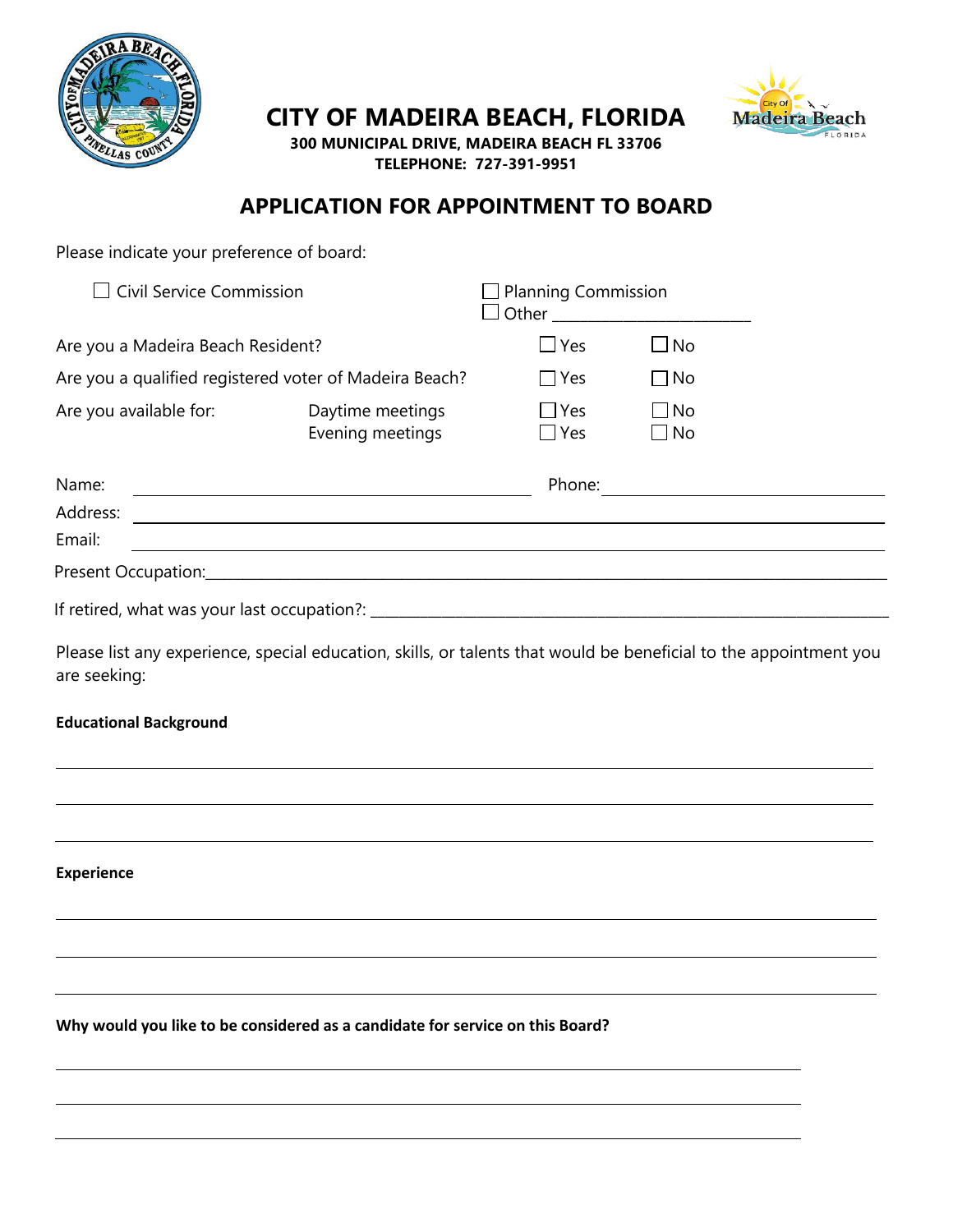

**CITY OF MADEIRA BEACH, FLORIDA**



**300 MUNICIPAL DRIVE, MADEIRA BEACH FL 33706 TELEPHONE: 727-391-9951**

## **APPLICATION FOR APPOINTMENT TO BOARD**

| Please indicate your preference of board:                                                                                         |                                                                                                                  |                          |                        |                   |
|-----------------------------------------------------------------------------------------------------------------------------------|------------------------------------------------------------------------------------------------------------------|--------------------------|------------------------|-------------------|
| $\Box$ Civil Service Commission                                                                                                   | <b>Planning Commission</b><br>□ Other _________________________                                                  |                          |                        |                   |
| Are you a Madeira Beach Resident?                                                                                                 | $\Box$ Yes                                                                                                       | $\square$ No             |                        |                   |
| Are you a qualified registered voter of Madeira Beach?                                                                            | $\Box$ Yes                                                                                                       | $\Box$ No                |                        |                   |
| Are you available for:                                                                                                            | Daytime meetings<br>Evening meetings                                                                             | $\Box$ Yes<br>$\Box$ Yes | $\Box$ No<br>$\Box$ No |                   |
| Name:                                                                                                                             |                                                                                                                  |                          |                        | Phone: Note: 2008 |
|                                                                                                                                   |                                                                                                                  |                          |                        |                   |
| Email:                                                                                                                            | and the control of the control of the control of the control of the control of the control of the control of the |                          |                        |                   |
|                                                                                                                                   |                                                                                                                  |                          |                        |                   |
|                                                                                                                                   |                                                                                                                  |                          |                        |                   |
| Please list any experience, special education, skills, or talents that would be beneficial to the appointment you<br>are seeking: |                                                                                                                  |                          |                        |                   |
| <b>Educational Background</b>                                                                                                     |                                                                                                                  |                          |                        |                   |
|                                                                                                                                   |                                                                                                                  |                          |                        |                   |
|                                                                                                                                   |                                                                                                                  |                          |                        |                   |
| <b>Experience</b>                                                                                                                 |                                                                                                                  |                          |                        |                   |
|                                                                                                                                   |                                                                                                                  |                          |                        |                   |
|                                                                                                                                   |                                                                                                                  |                          |                        |                   |
| Why would you like to be considered as a candidate for service on this Board?                                                     |                                                                                                                  |                          |                        |                   |